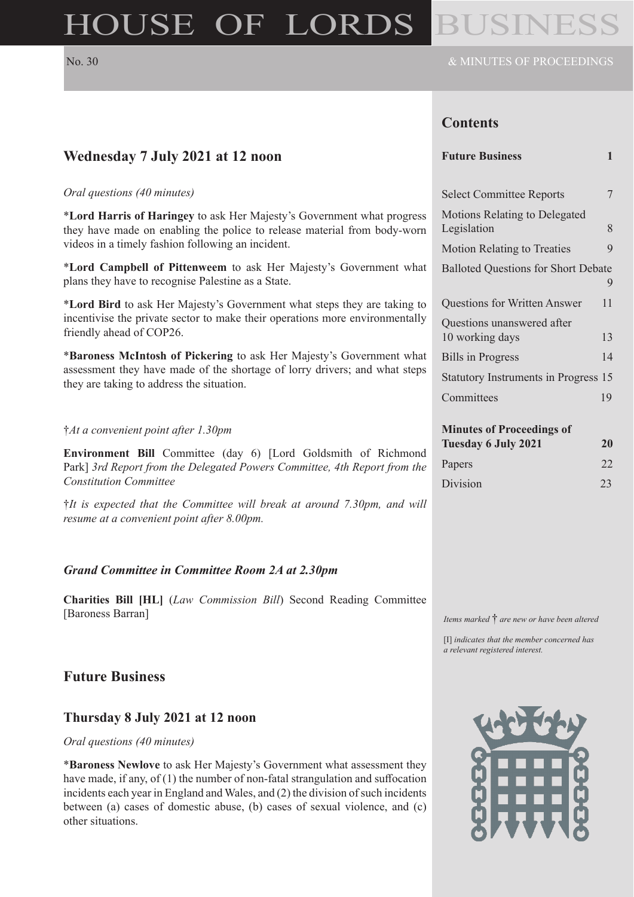# HOUSE OF LORDS

# **Contents**

|  | <b>Future Business</b> |  |
|--|------------------------|--|
|--|------------------------|--|

| <b>Select Committee Reports</b>            | 7  |
|--------------------------------------------|----|
| <b>Motions Relating to Delegated</b>       |    |
| Legislation                                | 8  |
| <b>Motion Relating to Treaties</b>         | 9  |
| <b>Balloted Questions for Short Debate</b> | 9  |
| <b>Questions for Written Answer</b>        | 11 |
| Questions unanswered after                 |    |
| 10 working days                            | 13 |
| <b>Bills in Progress</b>                   | 14 |
| Statutory Instruments in Progress 15       |    |
| Committees                                 | 19 |
|                                            |    |
| <b>Minutes of Proceedings of</b>           |    |
| <b>Tuesday 6 July 2021</b>                 | 20 |
| Papers                                     | 22 |
| Division                                   | 23 |

*Items marked* † *are new or have been altered*

[I] *indicates that the member concerned has a relevant registered interest.*



# **Wednesday 7 July 2021 at 12 noon**

#### *Oral questions (40 minutes)*

\***Lord Harris of Haringey** to ask Her Majesty's Government what progress they have made on enabling the police to release material from body-worn videos in a timely fashion following an incident.

\***Lord Campbell of Pittenweem** to ask Her Majesty's Government what plans they have to recognise Palestine as a State.

\***Lord Bird** to ask Her Majesty's Government what steps they are taking to incentivise the private sector to make their operations more environmentally friendly ahead of COP26.

\***Baroness McIntosh of Pickering** to ask Her Majesty's Government what assessment they have made of the shortage of lorry drivers; and what steps they are taking to address the situation.

#### †*At a convenient point after 1.30pm*

**Environment Bill** Committee (day 6) [Lord Goldsmith of Richmond Park] *3rd Report from the Delegated Powers Committee, 4th Report from the Constitution Committee*

†*It is expected that the Committee will break at around 7.30pm, and will resume at a convenient point after 8.00pm.*

#### *Grand Committee in Committee Room 2A at 2.30pm*

**Charities Bill [HL]** (*Law Commission Bill*) Second Reading Committee [Baroness Barran]

# **Future Business**

#### **Thursday 8 July 2021 at 12 noon**

*Oral questions (40 minutes)*

\***Baroness Newlove** to ask Her Majesty's Government what assessment they have made, if any, of (1) the number of non-fatal strangulation and suffocation incidents each year in England and Wales, and (2) the division of such incidents between (a) cases of domestic abuse, (b) cases of sexual violence, and (c) other situations.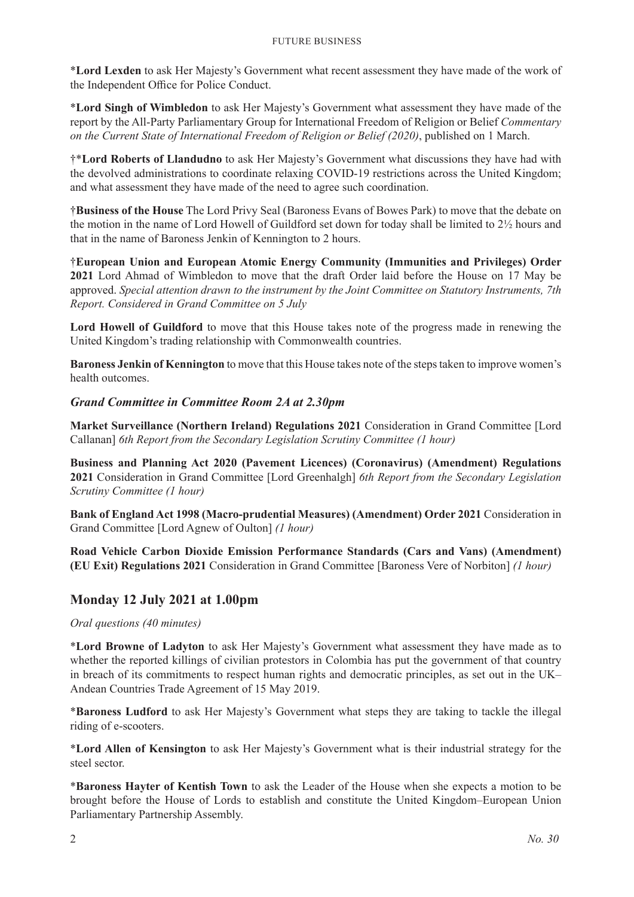\***Lord Lexden** to ask Her Majesty's Government what recent assessment they have made of the work of the Independent Office for Police Conduct.

\***Lord Singh of Wimbledon** to ask Her Majesty's Government what assessment they have made of the report by the All-Party Parliamentary Group for International Freedom of Religion or Belief *Commentary on the Current State of International Freedom of Religion or Belief (2020)*, published on 1 March.

†\***Lord Roberts of Llandudno** to ask Her Majesty's Government what discussions they have had with the devolved administrations to coordinate relaxing COVID-19 restrictions across the United Kingdom; and what assessment they have made of the need to agree such coordination.

†**Business of the House** The Lord Privy Seal (Baroness Evans of Bowes Park) to move that the debate on the motion in the name of Lord Howell of Guildford set down for today shall be limited to 2½ hours and that in the name of Baroness Jenkin of Kennington to 2 hours.

†**European Union and European Atomic Energy Community (Immunities and Privileges) Order 2021** Lord Ahmad of Wimbledon to move that the draft Order laid before the House on 17 May be approved. *Special attention drawn to the instrument by the Joint Committee on Statutory Instruments, 7th Report. Considered in Grand Committee on 5 July*

**Lord Howell of Guildford** to move that this House takes note of the progress made in renewing the United Kingdom's trading relationship with Commonwealth countries.

**Baroness Jenkin of Kennington** to move that this House takes note of the steps taken to improve women's health outcomes.

#### *Grand Committee in Committee Room 2A at 2.30pm*

**Market Surveillance (Northern Ireland) Regulations 2021** Consideration in Grand Committee [Lord Callanan] *6th Report from the Secondary Legislation Scrutiny Committee (1 hour)*

**Business and Planning Act 2020 (Pavement Licences) (Coronavirus) (Amendment) Regulations 2021** Consideration in Grand Committee [Lord Greenhalgh] *6th Report from the Secondary Legislation Scrutiny Committee (1 hour)*

**Bank of England Act 1998 (Macro-prudential Measures) (Amendment) Order 2021** Consideration in Grand Committee [Lord Agnew of Oulton] *(1 hour)*

**Road Vehicle Carbon Dioxide Emission Performance Standards (Cars and Vans) (Amendment) (EU Exit) Regulations 2021** Consideration in Grand Committee [Baroness Vere of Norbiton] *(1 hour)*

# **Monday 12 July 2021 at 1.00pm**

*Oral questions (40 minutes)*

\***Lord Browne of Ladyton** to ask Her Majesty's Government what assessment they have made as to whether the reported killings of civilian protestors in Colombia has put the government of that country in breach of its commitments to respect human rights and democratic principles, as set out in the UK– Andean Countries Trade Agreement of 15 May 2019.

\***Baroness Ludford** to ask Her Majesty's Government what steps they are taking to tackle the illegal riding of e-scooters.

\***Lord Allen of Kensington** to ask Her Majesty's Government what is their industrial strategy for the steel sector.

\***Baroness Hayter of Kentish Town** to ask the Leader of the House when she expects a motion to be brought before the House of Lords to establish and constitute the United Kingdom–European Union Parliamentary Partnership Assembly.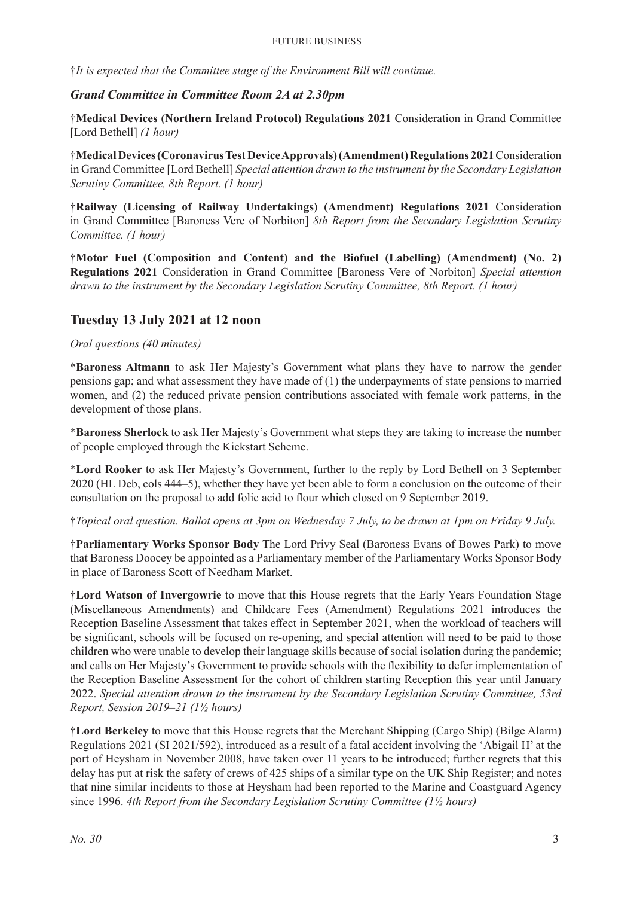†*It is expected that the Committee stage of the Environment Bill will continue.*

# *Grand Committee in Committee Room 2A at 2.30pm*

†**Medical Devices (Northern Ireland Protocol) Regulations 2021** Consideration in Grand Committee [Lord Bethell] *(1 hour)*

†**Medical Devices (Coronavirus Test Device Approvals) (Amendment) Regulations 2021** Consideration in Grand Committee [Lord Bethell] *Special attention drawn to the instrument by the Secondary Legislation Scrutiny Committee, 8th Report. (1 hour)*

†**Railway (Licensing of Railway Undertakings) (Amendment) Regulations 2021** Consideration in Grand Committee [Baroness Vere of Norbiton] *8th Report from the Secondary Legislation Scrutiny Committee. (1 hour)*

†**Motor Fuel (Composition and Content) and the Biofuel (Labelling) (Amendment) (No. 2) Regulations 2021** Consideration in Grand Committee [Baroness Vere of Norbiton] *Special attention drawn to the instrument by the Secondary Legislation Scrutiny Committee, 8th Report. (1 hour)*

# **Tuesday 13 July 2021 at 12 noon**

#### *Oral questions (40 minutes)*

\***Baroness Altmann** to ask Her Majesty's Government what plans they have to narrow the gender pensions gap; and what assessment they have made of (1) the underpayments of state pensions to married women, and (2) the reduced private pension contributions associated with female work patterns, in the development of those plans.

\***Baroness Sherlock** to ask Her Majesty's Government what steps they are taking to increase the number of people employed through the Kickstart Scheme.

\***Lord Rooker** to ask Her Majesty's Government, further to the reply by Lord Bethell on 3 September 2020 (HL Deb, cols 444–5), whether they have yet been able to form a conclusion on the outcome of their consultation on the proposal to add folic acid to flour which closed on 9 September 2019.

†*Topical oral question. Ballot opens at 3pm on Wednesday 7 July, to be drawn at 1pm on Friday 9 July.*

†**Parliamentary Works Sponsor Body** The Lord Privy Seal (Baroness Evans of Bowes Park) to move that Baroness Doocey be appointed as a Parliamentary member of the Parliamentary Works Sponsor Body in place of Baroness Scott of Needham Market.

†**Lord Watson of Invergowrie** to move that this House regrets that the Early Years Foundation Stage (Miscellaneous Amendments) and Childcare Fees (Amendment) Regulations 2021 introduces the Reception Baseline Assessment that takes effect in September 2021, when the workload of teachers will be significant, schools will be focused on re-opening, and special attention will need to be paid to those children who were unable to develop their language skills because of social isolation during the pandemic; and calls on Her Majesty's Government to provide schools with the flexibility to defer implementation of the Reception Baseline Assessment for the cohort of children starting Reception this year until January 2022. *Special attention drawn to the instrument by the Secondary Legislation Scrutiny Committee, 53rd Report, Session 2019–21 (1½ hours)*

†**Lord Berkeley** to move that this House regrets that the Merchant Shipping (Cargo Ship) (Bilge Alarm) Regulations 2021 (SI 2021/592), introduced as a result of a fatal accident involving the 'Abigail H' at the port of Heysham in November 2008, have taken over 11 years to be introduced; further regrets that this delay has put at risk the safety of crews of 425 ships of a similar type on the UK Ship Register; and notes that nine similar incidents to those at Heysham had been reported to the Marine and Coastguard Agency since 1996. *4th Report from the Secondary Legislation Scrutiny Committee (1½ hours)*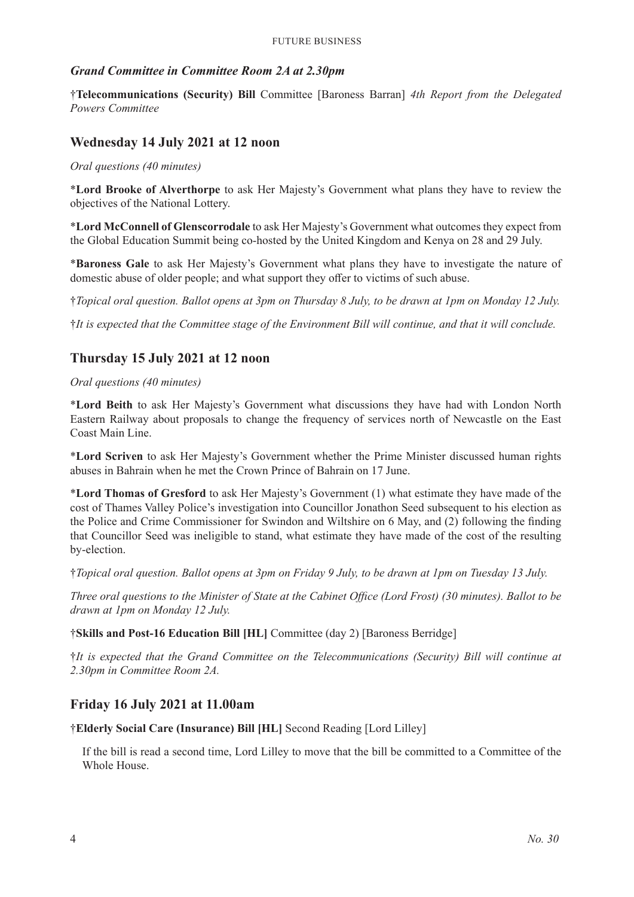#### *Grand Committee in Committee Room 2A at 2.30pm*

†**Telecommunications (Security) Bill** Committee [Baroness Barran] *4th Report from the Delegated Powers Committee*

# **Wednesday 14 July 2021 at 12 noon**

*Oral questions (40 minutes)*

\***Lord Brooke of Alverthorpe** to ask Her Majesty's Government what plans they have to review the objectives of the National Lottery.

\***Lord McConnell of Glenscorrodale** to ask Her Majesty's Government what outcomes they expect from the Global Education Summit being co-hosted by the United Kingdom and Kenya on 28 and 29 July.

\***Baroness Gale** to ask Her Majesty's Government what plans they have to investigate the nature of domestic abuse of older people; and what support they offer to victims of such abuse.

†*Topical oral question. Ballot opens at 3pm on Thursday 8 July, to be drawn at 1pm on Monday 12 July.*

†*It is expected that the Committee stage of the Environment Bill will continue, and that it will conclude.*

# **Thursday 15 July 2021 at 12 noon**

#### *Oral questions (40 minutes)*

\***Lord Beith** to ask Her Majesty's Government what discussions they have had with London North Eastern Railway about proposals to change the frequency of services north of Newcastle on the East Coast Main Line.

\***Lord Scriven** to ask Her Majesty's Government whether the Prime Minister discussed human rights abuses in Bahrain when he met the Crown Prince of Bahrain on 17 June.

\***Lord Thomas of Gresford** to ask Her Majesty's Government (1) what estimate they have made of the cost of Thames Valley Police's investigation into Councillor Jonathon Seed subsequent to his election as the Police and Crime Commissioner for Swindon and Wiltshire on 6 May, and (2) following the finding that Councillor Seed was ineligible to stand, what estimate they have made of the cost of the resulting by-election.

†*Topical oral question. Ballot opens at 3pm on Friday 9 July, to be drawn at 1pm on Tuesday 13 July.*

*Three oral questions to the Minister of State at the Cabinet Office (Lord Frost) (30 minutes). Ballot to be drawn at 1pm on Monday 12 July.*

#### †**Skills and Post-16 Education Bill [HL]** Committee (day 2) [Baroness Berridge]

†*It is expected that the Grand Committee on the Telecommunications (Security) Bill will continue at 2.30pm in Committee Room 2A.*

#### **Friday 16 July 2021 at 11.00am**

†**Elderly Social Care (Insurance) Bill [HL]** Second Reading [Lord Lilley]

If the bill is read a second time, Lord Lilley to move that the bill be committed to a Committee of the Whole House.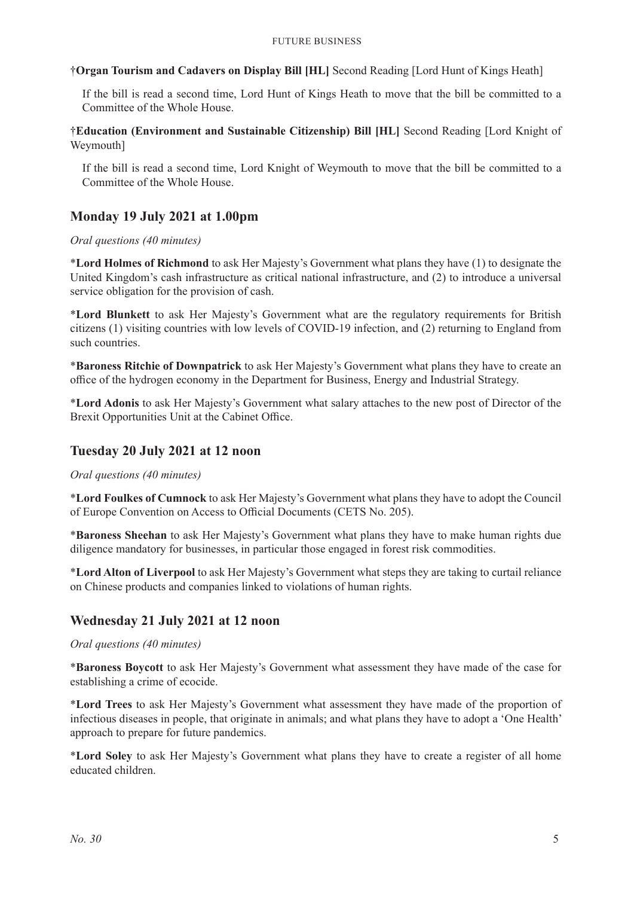†**Organ Tourism and Cadavers on Display Bill [HL]** Second Reading [Lord Hunt of Kings Heath]

If the bill is read a second time, Lord Hunt of Kings Heath to move that the bill be committed to a Committee of the Whole House.

†**Education (Environment and Sustainable Citizenship) Bill [HL]** Second Reading [Lord Knight of Weymouth]

If the bill is read a second time, Lord Knight of Weymouth to move that the bill be committed to a Committee of the Whole House.

# **Monday 19 July 2021 at 1.00pm**

#### *Oral questions (40 minutes)*

\***Lord Holmes of Richmond** to ask Her Majesty's Government what plans they have (1) to designate the United Kingdom's cash infrastructure as critical national infrastructure, and (2) to introduce a universal service obligation for the provision of cash.

\***Lord Blunkett** to ask Her Majesty's Government what are the regulatory requirements for British citizens (1) visiting countries with low levels of COVID-19 infection, and (2) returning to England from such countries.

\***Baroness Ritchie of Downpatrick** to ask Her Majesty's Government what plans they have to create an office of the hydrogen economy in the Department for Business, Energy and Industrial Strategy.

\***Lord Adonis** to ask Her Majesty's Government what salary attaches to the new post of Director of the Brexit Opportunities Unit at the Cabinet Office.

# **Tuesday 20 July 2021 at 12 noon**

*Oral questions (40 minutes)*

\***Lord Foulkes of Cumnock** to ask Her Majesty's Government what plans they have to adopt the Council of Europe Convention on Access to Official Documents (CETS No. 205).

\***Baroness Sheehan** to ask Her Majesty's Government what plans they have to make human rights due diligence mandatory for businesses, in particular those engaged in forest risk commodities.

\***Lord Alton of Liverpool** to ask Her Majesty's Government what steps they are taking to curtail reliance on Chinese products and companies linked to violations of human rights.

# **Wednesday 21 July 2021 at 12 noon**

*Oral questions (40 minutes)*

\***Baroness Boycott** to ask Her Majesty's Government what assessment they have made of the case for establishing a crime of ecocide.

\***Lord Trees** to ask Her Majesty's Government what assessment they have made of the proportion of infectious diseases in people, that originate in animals; and what plans they have to adopt a 'One Health' approach to prepare for future pandemics.

\***Lord Soley** to ask Her Majesty's Government what plans they have to create a register of all home educated children.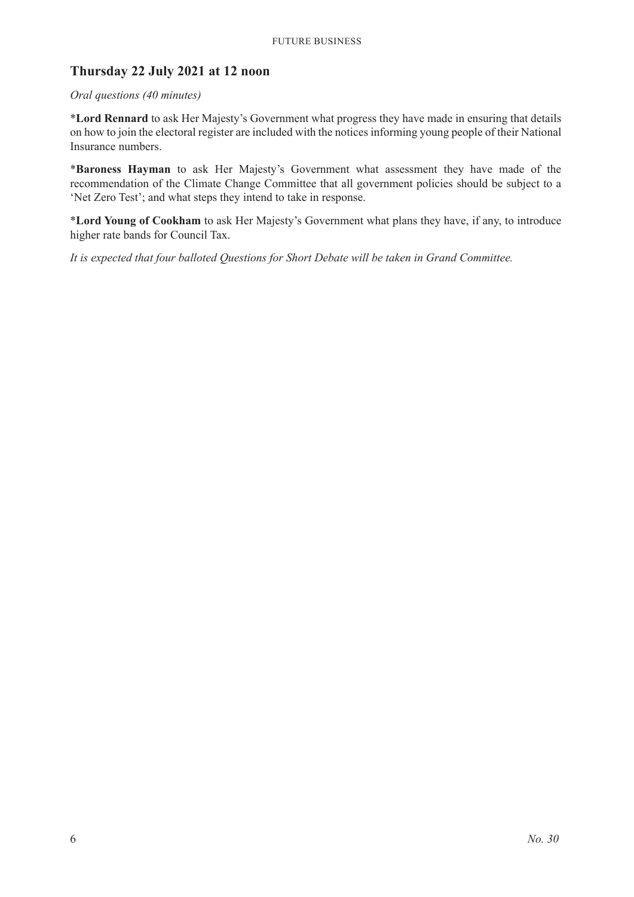# **Thursday 22 July 2021 at 12 noon**

#### *Oral questions (40 minutes)*

\***Lord Rennard** to ask Her Majesty's Government what progress they have made in ensuring that details on how to join the electoral register are included with the notices informing young people of their National Insurance numbers.

\***Baroness Hayman** to ask Her Majesty's Government what assessment they have made of the recommendation of the Climate Change Committee that all government policies should be subject to a 'Net Zero Test'; and what steps they intend to take in response.

\***Lord Young of Cookham** to ask Her Majesty's Government what plans they have, if any, to introduce higher rate bands for Council Tax.

*It is expected that four balloted Questions for Short Debate will be taken in Grand Committee.*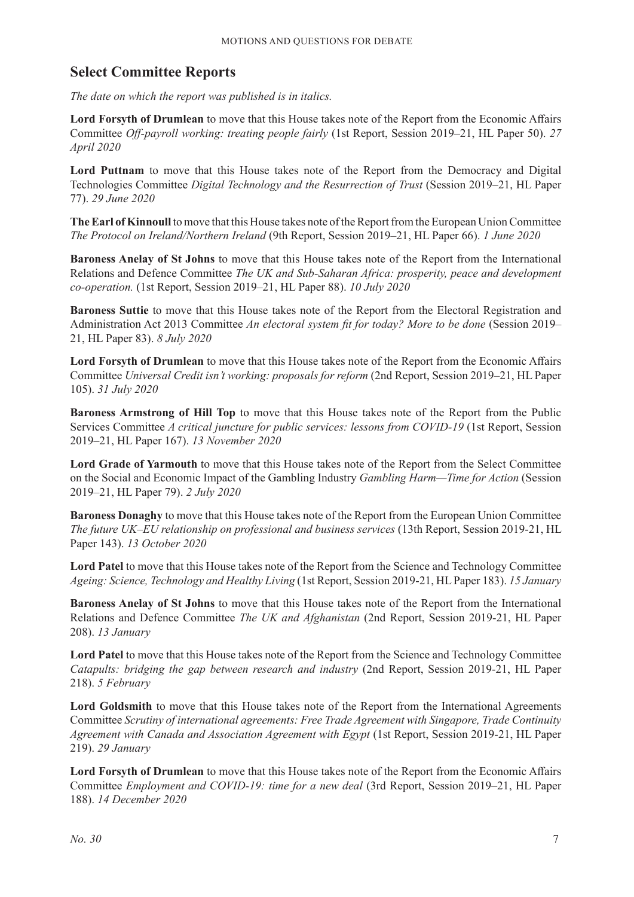# **Select Committee Reports**

*The date on which the report was published is in italics.*

**Lord Forsyth of Drumlean** to move that this House takes note of the Report from the Economic Affairs Committee *Off-payroll working: treating people fairly* (1st Report, Session 2019–21, HL Paper 50). *27 April 2020*

**Lord Puttnam** to move that this House takes note of the Report from the Democracy and Digital Technologies Committee *Digital Technology and the Resurrection of Trust* (Session 2019–21, HL Paper 77). *29 June 2020*

**The Earl of Kinnoull** to move that this House takes note of the Report from the European Union Committee *The Protocol on Ireland/Northern Ireland* (9th Report, Session 2019–21, HL Paper 66). *1 June 2020*

**Baroness Anelay of St Johns** to move that this House takes note of the Report from the International Relations and Defence Committee *The UK and Sub-Saharan Africa: prosperity, peace and development co-operation.* (1st Report, Session 2019–21, HL Paper 88). *10 July 2020*

**Baroness Suttie** to move that this House takes note of the Report from the Electoral Registration and Administration Act 2013 Committee *An electoral system fit for today? More to be done* (Session 2019– 21, HL Paper 83). *8 July 2020*

**Lord Forsyth of Drumlean** to move that this House takes note of the Report from the Economic Affairs Committee *Universal Credit isn't working: proposals for reform* (2nd Report, Session 2019–21, HL Paper 105). *31 July 2020*

**Baroness Armstrong of Hill Top** to move that this House takes note of the Report from the Public Services Committee *A critical juncture for public services: lessons from COVID-19* (1st Report, Session 2019–21, HL Paper 167). *13 November 2020*

**Lord Grade of Yarmouth** to move that this House takes note of the Report from the Select Committee on the Social and Economic Impact of the Gambling Industry *Gambling Harm—Time for Action* (Session 2019–21, HL Paper 79). *2 July 2020*

**Baroness Donaghy** to move that this House takes note of the Report from the European Union Committee *The future UK–EU relationship on professional and business services* (13th Report, Session 2019-21, HL Paper 143). *13 October 2020*

**Lord Patel** to move that this House takes note of the Report from the Science and Technology Committee *Ageing: Science, Technology and Healthy Living* (1st Report, Session 2019-21, HL Paper 183). *15 January*

**Baroness Anelay of St Johns** to move that this House takes note of the Report from the International Relations and Defence Committee *The UK and Afghanistan* (2nd Report, Session 2019-21, HL Paper 208). *13 January*

**Lord Patel** to move that this House takes note of the Report from the Science and Technology Committee *Catapults: bridging the gap between research and industry* (2nd Report, Session 2019-21, HL Paper 218). *5 February*

**Lord Goldsmith** to move that this House takes note of the Report from the International Agreements Committee *Scrutiny of international agreements: Free Trade Agreement with Singapore, Trade Continuity Agreement with Canada and Association Agreement with Egypt* (1st Report, Session 2019-21, HL Paper 219). *29 January*

**Lord Forsyth of Drumlean** to move that this House takes note of the Report from the Economic Affairs Committee *Employment and COVID-19: time for a new deal* (3rd Report, Session 2019–21, HL Paper 188). *14 December 2020*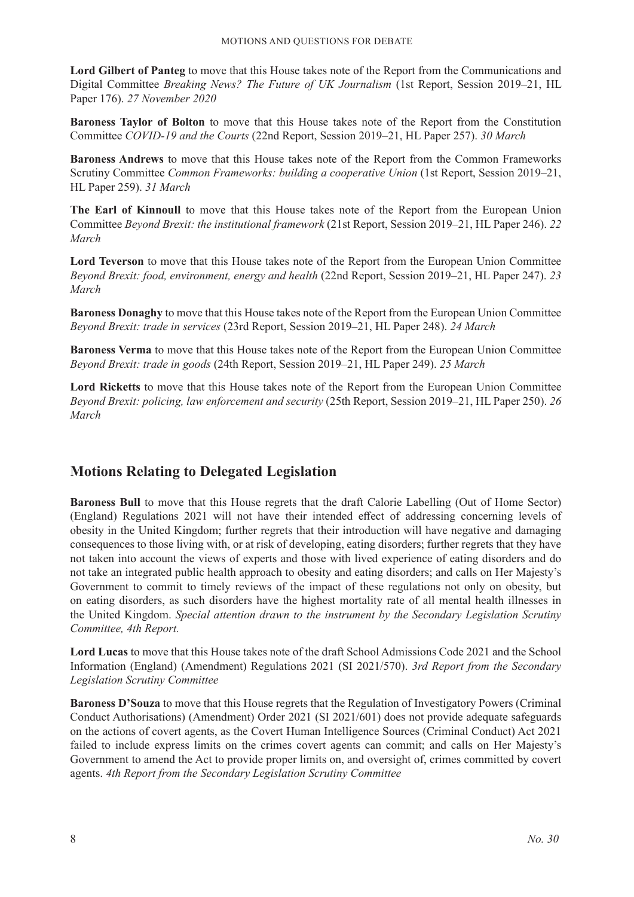**Lord Gilbert of Panteg** to move that this House takes note of the Report from the Communications and Digital Committee *Breaking News? The Future of UK Journalism* (1st Report, Session 2019–21, HL Paper 176). *27 November 2020*

**Baroness Taylor of Bolton** to move that this House takes note of the Report from the Constitution Committee *COVID-19 and the Courts* (22nd Report, Session 2019–21, HL Paper 257). *30 March*

**Baroness Andrews** to move that this House takes note of the Report from the Common Frameworks Scrutiny Committee *Common Frameworks: building a cooperative Union* (1st Report, Session 2019–21, HL Paper 259). *31 March*

**The Earl of Kinnoull** to move that this House takes note of the Report from the European Union Committee *Beyond Brexit: the institutional framework* (21st Report, Session 2019–21, HL Paper 246). *22 March*

**Lord Teverson** to move that this House takes note of the Report from the European Union Committee *Beyond Brexit: food, environment, energy and health* (22nd Report, Session 2019–21, HL Paper 247). *23 March*

**Baroness Donaghy** to move that this House takes note of the Report from the European Union Committee *Beyond Brexit: trade in services* (23rd Report, Session 2019–21, HL Paper 248). *24 March*

**Baroness Verma** to move that this House takes note of the Report from the European Union Committee *Beyond Brexit: trade in goods* (24th Report, Session 2019–21, HL Paper 249). *25 March*

**Lord Ricketts** to move that this House takes note of the Report from the European Union Committee *Beyond Brexit: policing, law enforcement and security* (25th Report, Session 2019–21, HL Paper 250). *26 March*

# **Motions Relating to Delegated Legislation**

**Baroness Bull** to move that this House regrets that the draft Calorie Labelling (Out of Home Sector) (England) Regulations 2021 will not have their intended effect of addressing concerning levels of obesity in the United Kingdom; further regrets that their introduction will have negative and damaging consequences to those living with, or at risk of developing, eating disorders; further regrets that they have not taken into account the views of experts and those with lived experience of eating disorders and do not take an integrated public health approach to obesity and eating disorders; and calls on Her Majesty's Government to commit to timely reviews of the impact of these regulations not only on obesity, but on eating disorders, as such disorders have the highest mortality rate of all mental health illnesses in the United Kingdom. *Special attention drawn to the instrument by the Secondary Legislation Scrutiny Committee, 4th Report.*

**Lord Lucas** to move that this House takes note of the draft School Admissions Code 2021 and the School Information (England) (Amendment) Regulations 2021 (SI 2021/570). *3rd Report from the Secondary Legislation Scrutiny Committee*

**Baroness D'Souza** to move that this House regrets that the Regulation of Investigatory Powers (Criminal Conduct Authorisations) (Amendment) Order 2021 (SI 2021/601) does not provide adequate safeguards on the actions of covert agents, as the Covert Human Intelligence Sources (Criminal Conduct) Act 2021 failed to include express limits on the crimes covert agents can commit; and calls on Her Majesty's Government to amend the Act to provide proper limits on, and oversight of, crimes committed by covert agents. *4th Report from the Secondary Legislation Scrutiny Committee*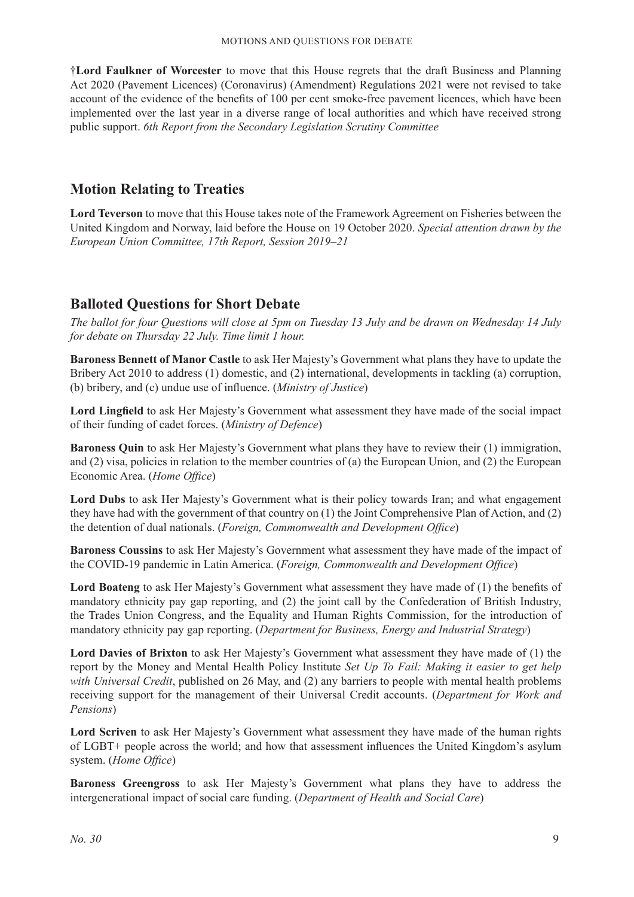†**Lord Faulkner of Worcester** to move that this House regrets that the draft Business and Planning Act 2020 (Pavement Licences) (Coronavirus) (Amendment) Regulations 2021 were not revised to take account of the evidence of the benefits of 100 per cent smoke-free pavement licences, which have been implemented over the last year in a diverse range of local authorities and which have received strong public support. *6th Report from the Secondary Legislation Scrutiny Committee*

# **Motion Relating to Treaties**

**Lord Teverson** to move that this House takes note of the Framework Agreement on Fisheries between the United Kingdom and Norway, laid before the House on 19 October 2020. *Special attention drawn by the European Union Committee, 17th Report, Session 2019–21*

# **Balloted Questions for Short Debate**

*The ballot for four Questions will close at 5pm on Tuesday 13 July and be drawn on Wednesday 14 July for debate on Thursday 22 July. Time limit 1 hour.*

**Baroness Bennett of Manor Castle** to ask Her Majesty's Government what plans they have to update the Bribery Act 2010 to address (1) domestic, and (2) international, developments in tackling (a) corruption, (b) bribery, and (c) undue use of influence. (*Ministry of Justice*)

**Lord Lingfield** to ask Her Majesty's Government what assessment they have made of the social impact of their funding of cadet forces. (*Ministry of Defence*)

**Baroness Quin** to ask Her Majesty's Government what plans they have to review their (1) immigration, and (2) visa, policies in relation to the member countries of (a) the European Union, and (2) the European Economic Area. (*Home Office*)

**Lord Dubs** to ask Her Majesty's Government what is their policy towards Iran; and what engagement they have had with the government of that country on (1) the Joint Comprehensive Plan of Action, and (2) the detention of dual nationals. (*Foreign, Commonwealth and Development Office*)

**Baroness Coussins** to ask Her Majesty's Government what assessment they have made of the impact of the COVID-19 pandemic in Latin America. (*Foreign, Commonwealth and Development Office*)

**Lord Boateng** to ask Her Majesty's Government what assessment they have made of (1) the benefits of mandatory ethnicity pay gap reporting, and (2) the joint call by the Confederation of British Industry, the Trades Union Congress, and the Equality and Human Rights Commission, for the introduction of mandatory ethnicity pay gap reporting. (*Department for Business, Energy and Industrial Strategy*)

**Lord Davies of Brixton** to ask Her Majesty's Government what assessment they have made of (1) the report by the Money and Mental Health Policy Institute *Set Up To Fail: Making it easier to get help with Universal Credit*, published on 26 May, and (2) any barriers to people with mental health problems receiving support for the management of their Universal Credit accounts. (*Department for Work and Pensions*)

**Lord Scriven** to ask Her Majesty's Government what assessment they have made of the human rights of LGBT+ people across the world; and how that assessment influences the United Kingdom's asylum system. (*Home Office*)

**Baroness Greengross** to ask Her Majesty's Government what plans they have to address the intergenerational impact of social care funding. (*Department of Health and Social Care*)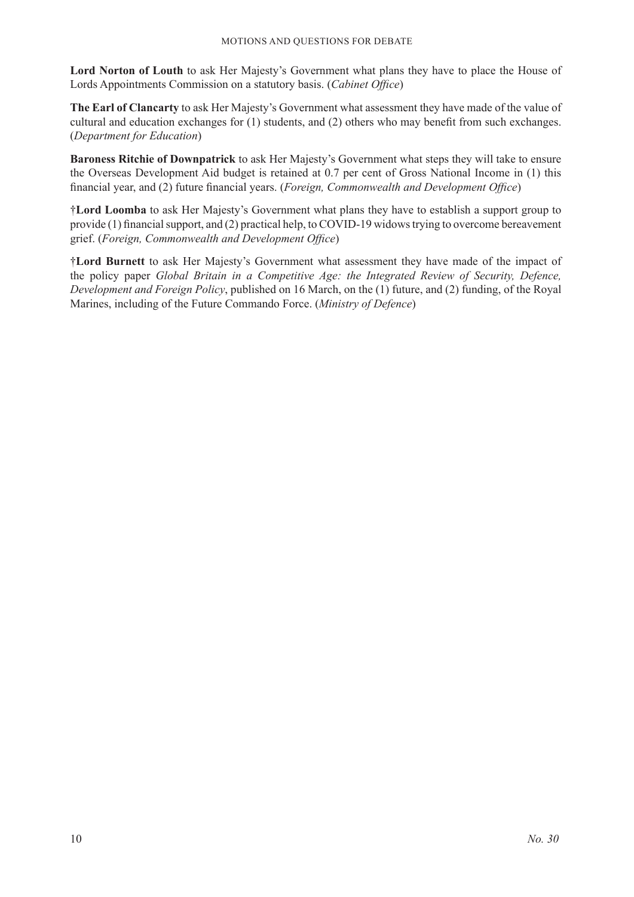**Lord Norton of Louth** to ask Her Majesty's Government what plans they have to place the House of Lords Appointments Commission on a statutory basis. (*Cabinet Office*)

**The Earl of Clancarty** to ask Her Majesty's Government what assessment they have made of the value of cultural and education exchanges for (1) students, and (2) others who may benefit from such exchanges. (*Department for Education*)

**Baroness Ritchie of Downpatrick** to ask Her Majesty's Government what steps they will take to ensure the Overseas Development Aid budget is retained at 0.7 per cent of Gross National Income in (1) this financial year, and (2) future financial years. (*Foreign, Commonwealth and Development Office*)

†**Lord Loomba** to ask Her Majesty's Government what plans they have to establish a support group to provide (1) financial support, and (2) practical help, to COVID-19 widows trying to overcome bereavement grief. (*Foreign, Commonwealth and Development Office*)

†**Lord Burnett** to ask Her Majesty's Government what assessment they have made of the impact of the policy paper *Global Britain in a Competitive Age: the Integrated Review of Security, Defence, Development and Foreign Policy*, published on 16 March, on the (1) future, and (2) funding, of the Royal Marines, including of the Future Commando Force. (*Ministry of Defence*)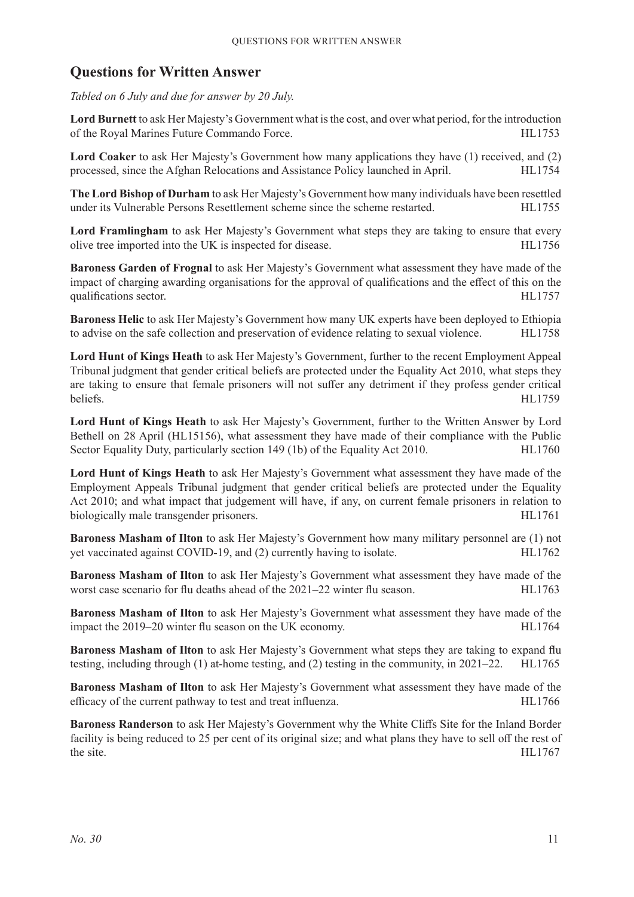# **Questions for Written Answer**

*Tabled on 6 July and due for answer by 20 July.*

**Lord Burnett** to ask Her Majesty's Government what is the cost, and over what period, for the introduction of the Royal Marines Future Commando Force. HL1753

**Lord Coaker** to ask Her Majesty's Government how many applications they have (1) received, and (2) processed, since the Afghan Relocations and Assistance Policy launched in April. HL1754

**The Lord Bishop of Durham** to ask Her Majesty's Government how many individuals have been resettled under its Vulnerable Persons Resettlement scheme since the scheme restarted. HL1755

**Lord Framlingham** to ask Her Majesty's Government what steps they are taking to ensure that every olive tree imported into the UK is inspected for disease. HL1756

**Baroness Garden of Frognal** to ask Her Majesty's Government what assessment they have made of the impact of charging awarding organisations for the approval of qualifications and the effect of this on the qualifications sector. **HL1757** 

**Baroness Helic** to ask Her Majesty's Government how many UK experts have been deployed to Ethiopia to advise on the safe collection and preservation of evidence relating to sexual violence. HL1758

**Lord Hunt of Kings Heath** to ask Her Majesty's Government, further to the recent Employment Appeal Tribunal judgment that gender critical beliefs are protected under the Equality Act 2010, what steps they are taking to ensure that female prisoners will not suffer any detriment if they profess gender critical beliefs. HL1759

**Lord Hunt of Kings Heath** to ask Her Majesty's Government, further to the Written Answer by Lord Bethell on 28 April (HL15156), what assessment they have made of their compliance with the Public Sector Equality Duty, particularly section 149 (1b) of the Equality Act 2010. HL1760

**Lord Hunt of Kings Heath** to ask Her Majesty's Government what assessment they have made of the Employment Appeals Tribunal judgment that gender critical beliefs are protected under the Equality Act 2010; and what impact that judgement will have, if any, on current female prisoners in relation to biologically male transgender prisoners. HL1761

**Baroness Masham of Ilton** to ask Her Majesty's Government how many military personnel are (1) not yet vaccinated against COVID-19, and (2) currently having to isolate. HL1762

**Baroness Masham of Ilton** to ask Her Majesty's Government what assessment they have made of the worst case scenario for flu deaths ahead of the  $2021-22$  winter flu season. HL1763

**Baroness Masham of Ilton** to ask Her Majesty's Government what assessment they have made of the impact the 2019–20 winter flu season on the UK economy. HL1764

**Baroness Masham of Ilton** to ask Her Majesty's Government what steps they are taking to expand flu testing, including through (1) at-home testing, and (2) testing in the community, in 2021–22. HL1765

**Baroness Masham of Ilton** to ask Her Majesty's Government what assessment they have made of the efficacy of the current pathway to test and treat influenza. HL1766

**Baroness Randerson** to ask Her Majesty's Government why the White Cliffs Site for the Inland Border facility is being reduced to 25 per cent of its original size; and what plans they have to sell off the rest of the site. HL1767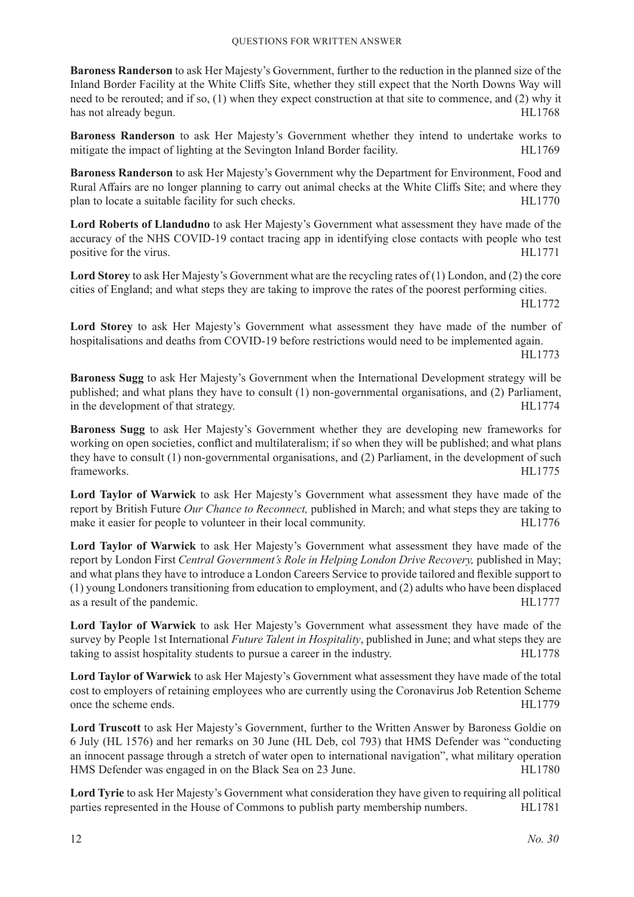**Baroness Randerson** to ask Her Majesty's Government, further to the reduction in the planned size of the Inland Border Facility at the White Cliffs Site, whether they still expect that the North Downs Way will need to be rerouted; and if so, (1) when they expect construction at that site to commence, and (2) why it has not already begun. HL1768

**Baroness Randerson** to ask Her Majesty's Government whether they intend to undertake works to mitigate the impact of lighting at the Sevington Inland Border facility. HL1769

**Baroness Randerson** to ask Her Majesty's Government why the Department for Environment, Food and Rural Affairs are no longer planning to carry out animal checks at the White Cliffs Site; and where they plan to locate a suitable facility for such checks. HL1770

**Lord Roberts of Llandudno** to ask Her Majesty's Government what assessment they have made of the accuracy of the NHS COVID-19 contact tracing app in identifying close contacts with people who test positive for the virus. HL1771

**Lord Storey** to ask Her Majesty's Government what are the recycling rates of (1) London, and (2) the core cities of England; and what steps they are taking to improve the rates of the poorest performing cities.

HL1772

**Lord Storey** to ask Her Majesty's Government what assessment they have made of the number of hospitalisations and deaths from COVID-19 before restrictions would need to be implemented again.

HL1773

**Baroness Sugg** to ask Her Majesty's Government when the International Development strategy will be published; and what plans they have to consult (1) non-governmental organisations, and (2) Parliament, in the development of that strategy. HL1774

**Baroness Sugg** to ask Her Majesty's Government whether they are developing new frameworks for working on open societies, conflict and multilateralism; if so when they will be published; and what plans they have to consult (1) non-governmental organisations, and (2) Parliament, in the development of such frameworks. HL1775

**Lord Taylor of Warwick** to ask Her Majesty's Government what assessment they have made of the report by British Future *Our Chance to Reconnect,* published in March; and what steps they are taking to make it easier for people to volunteer in their local community. HL1776

**Lord Taylor of Warwick** to ask Her Majesty's Government what assessment they have made of the report by London First *Central Government's Role in Helping London Drive Recovery,* published in May; and what plans they have to introduce a London Careers Service to provide tailored and flexible support to (1) young Londoners transitioning from education to employment, and (2) adults who have been displaced as a result of the pandemic. HL1777

**Lord Taylor of Warwick** to ask Her Majesty's Government what assessment they have made of the survey by People 1st International *Future Talent in Hospitality*, published in June; and what steps they are taking to assist hospitality students to pursue a career in the industry. HL1778

**Lord Taylor of Warwick** to ask Her Majesty's Government what assessment they have made of the total cost to employers of retaining employees who are currently using the Coronavirus Job Retention Scheme once the scheme ends. HL1779

**Lord Truscott** to ask Her Majesty's Government, further to the Written Answer by Baroness Goldie on 6 July (HL 1576) and her remarks on 30 June (HL Deb, col 793) that HMS Defender was "conducting an innocent passage through a stretch of water open to international navigation", what military operation HMS Defender was engaged in on the Black Sea on 23 June. HL1780

**Lord Tyrie** to ask Her Majesty's Government what consideration they have given to requiring all political parties represented in the House of Commons to publish party membership numbers. HL1781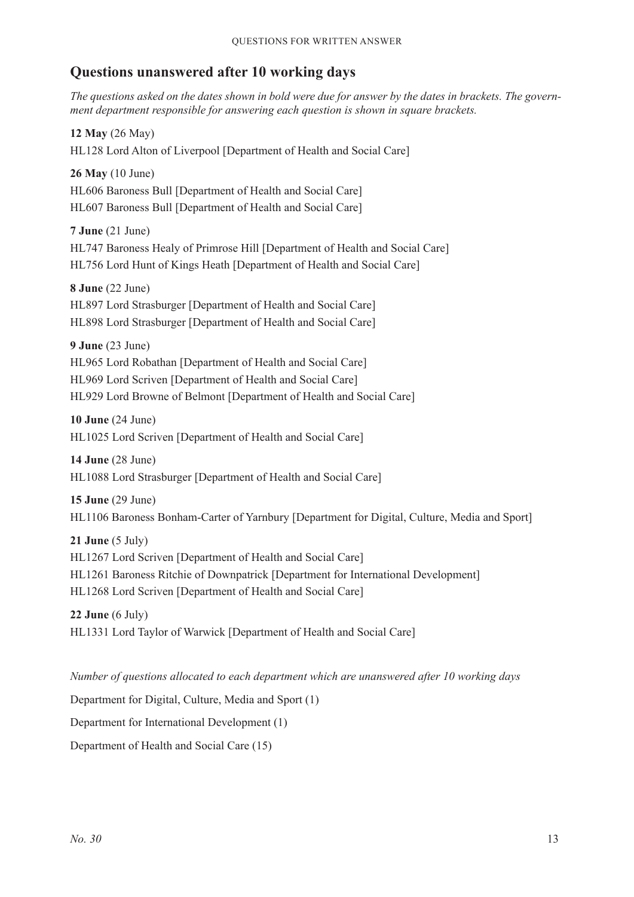# **Questions unanswered after 10 working days**

*The questions asked on the dates shown in bold were due for answer by the dates in brackets. The government department responsible for answering each question is shown in square brackets.*

**12 May** (26 May) HL128 Lord Alton of Liverpool [Department of Health and Social Care]

**26 May** (10 June) HL606 Baroness Bull [Department of Health and Social Care] HL607 Baroness Bull [Department of Health and Social Care]

**7 June** (21 June) HL747 Baroness Healy of Primrose Hill [Department of Health and Social Care] HL756 Lord Hunt of Kings Heath [Department of Health and Social Care]

**8 June** (22 June) HL897 Lord Strasburger [Department of Health and Social Care] HL898 Lord Strasburger [Department of Health and Social Care]

**9 June** (23 June)

HL965 Lord Robathan [Department of Health and Social Care] HL969 Lord Scriven [Department of Health and Social Care] HL929 Lord Browne of Belmont [Department of Health and Social Care]

**10 June** (24 June) HL1025 Lord Scriven [Department of Health and Social Care]

**14 June** (28 June) HL1088 Lord Strasburger [Department of Health and Social Care]

**15 June** (29 June) HL1106 Baroness Bonham-Carter of Yarnbury [Department for Digital, Culture, Media and Sport]

**21 June** (5 July) HL1267 Lord Scriven [Department of Health and Social Care] HL1261 Baroness Ritchie of Downpatrick [Department for International Development] HL1268 Lord Scriven [Department of Health and Social Care]

**22 June** (6 July) HL1331 Lord Taylor of Warwick [Department of Health and Social Care]

*Number of questions allocated to each department which are unanswered after 10 working days*

Department for Digital, Culture, Media and Sport (1)

Department for International Development (1)

Department of Health and Social Care (15)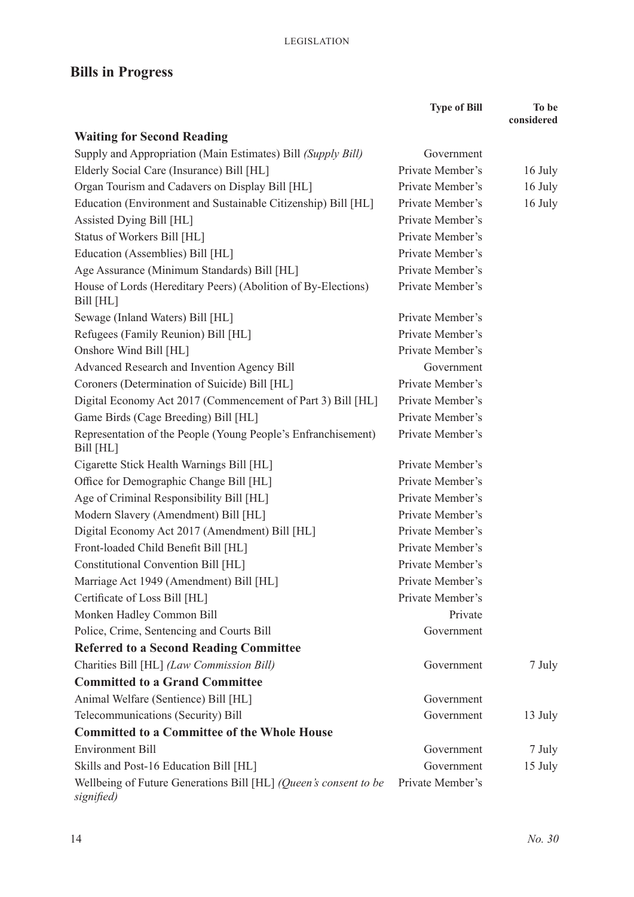# **Bills in Progress**

|                                                                                | <b>Type of Bill</b> | To be<br>considered |
|--------------------------------------------------------------------------------|---------------------|---------------------|
| <b>Waiting for Second Reading</b>                                              |                     |                     |
| Supply and Appropriation (Main Estimates) Bill (Supply Bill)                   | Government          |                     |
| Elderly Social Care (Insurance) Bill [HL]                                      | Private Member's    | 16 July             |
| Organ Tourism and Cadavers on Display Bill [HL]                                | Private Member's    | 16 July             |
| Education (Environment and Sustainable Citizenship) Bill [HL]                  | Private Member's    | 16 July             |
| Assisted Dying Bill [HL]                                                       | Private Member's    |                     |
| Status of Workers Bill [HL]                                                    | Private Member's    |                     |
| Education (Assemblies) Bill [HL]                                               | Private Member's    |                     |
| Age Assurance (Minimum Standards) Bill [HL]                                    | Private Member's    |                     |
| House of Lords (Hereditary Peers) (Abolition of By-Elections)<br>Bill [HL]     | Private Member's    |                     |
| Sewage (Inland Waters) Bill [HL]                                               | Private Member's    |                     |
| Refugees (Family Reunion) Bill [HL]                                            | Private Member's    |                     |
| Onshore Wind Bill [HL]                                                         | Private Member's    |                     |
| Advanced Research and Invention Agency Bill                                    | Government          |                     |
| Coroners (Determination of Suicide) Bill [HL]                                  | Private Member's    |                     |
| Digital Economy Act 2017 (Commencement of Part 3) Bill [HL]                    | Private Member's    |                     |
| Game Birds (Cage Breeding) Bill [HL]                                           | Private Member's    |                     |
| Representation of the People (Young People's Enfranchisement)<br>Bill [HL]     | Private Member's    |                     |
| Cigarette Stick Health Warnings Bill [HL]                                      | Private Member's    |                     |
| Office for Demographic Change Bill [HL]                                        | Private Member's    |                     |
| Age of Criminal Responsibility Bill [HL]                                       | Private Member's    |                     |
| Modern Slavery (Amendment) Bill [HL]                                           | Private Member's    |                     |
| Digital Economy Act 2017 (Amendment) Bill [HL]                                 | Private Member's    |                     |
| Front-loaded Child Benefit Bill [HL]                                           | Private Member's    |                     |
| Constitutional Convention Bill [HL]                                            | Private Member's    |                     |
| Marriage Act 1949 (Amendment) Bill [HL]                                        | Private Member's    |                     |
| Certificate of Loss Bill [HL]                                                  | Private Member's    |                     |
| Monken Hadley Common Bill                                                      | Private             |                     |
| Police, Crime, Sentencing and Courts Bill                                      | Government          |                     |
| <b>Referred to a Second Reading Committee</b>                                  |                     |                     |
| Charities Bill [HL] (Law Commission Bill)                                      | Government          | 7 July              |
| <b>Committed to a Grand Committee</b>                                          |                     |                     |
| Animal Welfare (Sentience) Bill [HL]                                           | Government          |                     |
| Telecommunications (Security) Bill                                             | Government          | 13 July             |
| <b>Committed to a Committee of the Whole House</b>                             |                     |                     |
| <b>Environment Bill</b>                                                        | Government          | 7 July              |
| Skills and Post-16 Education Bill [HL]                                         | Government          | 15 July             |
| Wellbeing of Future Generations Bill [HL] (Queen's consent to be<br>signified) | Private Member's    |                     |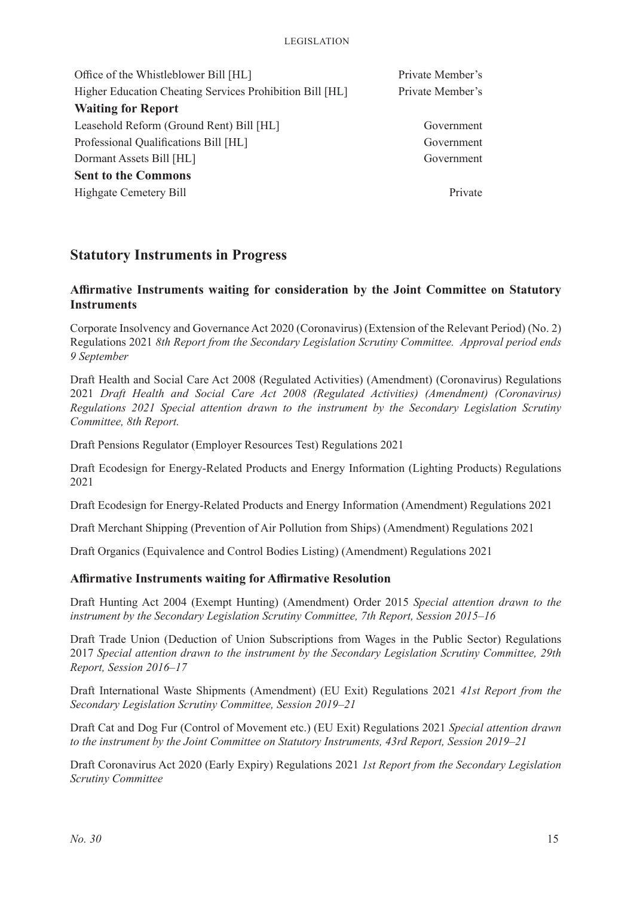| Office of the Whistleblower Bill [HL]                    | Private Member's |  |
|----------------------------------------------------------|------------------|--|
| Higher Education Cheating Services Prohibition Bill [HL] | Private Member's |  |
| <b>Waiting for Report</b>                                |                  |  |
| Leasehold Reform (Ground Rent) Bill [HL]                 | Government       |  |
| Professional Qualifications Bill [HL]                    | Government       |  |
| Dormant Assets Bill [HL]                                 | Government       |  |
| <b>Sent to the Commons</b>                               |                  |  |
| Highgate Cemetery Bill                                   | Private          |  |

# **Statutory Instruments in Progress**

# **Affirmative Instruments waiting for consideration by the Joint Committee on Statutory Instruments**

Corporate Insolvency and Governance Act 2020 (Coronavirus) (Extension of the Relevant Period) (No. 2) Regulations 2021 *8th Report from the Secondary Legislation Scrutiny Committee. Approval period ends 9 September*

Draft Health and Social Care Act 2008 (Regulated Activities) (Amendment) (Coronavirus) Regulations 2021 *Draft Health and Social Care Act 2008 (Regulated Activities) (Amendment) (Coronavirus) Regulations 2021 Special attention drawn to the instrument by the Secondary Legislation Scrutiny Committee, 8th Report.*

Draft Pensions Regulator (Employer Resources Test) Regulations 2021

Draft Ecodesign for Energy-Related Products and Energy Information (Lighting Products) Regulations 2021

Draft Ecodesign for Energy-Related Products and Energy Information (Amendment) Regulations 2021

Draft Merchant Shipping (Prevention of Air Pollution from Ships) (Amendment) Regulations 2021

Draft Organics (Equivalence and Control Bodies Listing) (Amendment) Regulations 2021

#### **Affirmative Instruments waiting for Affirmative Resolution**

Draft Hunting Act 2004 (Exempt Hunting) (Amendment) Order 2015 *Special attention drawn to the instrument by the Secondary Legislation Scrutiny Committee, 7th Report, Session 2015–16*

Draft Trade Union (Deduction of Union Subscriptions from Wages in the Public Sector) Regulations 2017 *Special attention drawn to the instrument by the Secondary Legislation Scrutiny Committee, 29th Report, Session 2016–17*

Draft International Waste Shipments (Amendment) (EU Exit) Regulations 2021 *41st Report from the Secondary Legislation Scrutiny Committee, Session 2019–21*

Draft Cat and Dog Fur (Control of Movement etc.) (EU Exit) Regulations 2021 *Special attention drawn to the instrument by the Joint Committee on Statutory Instruments, 43rd Report, Session 2019–21*

Draft Coronavirus Act 2020 (Early Expiry) Regulations 2021 *1st Report from the Secondary Legislation Scrutiny Committee*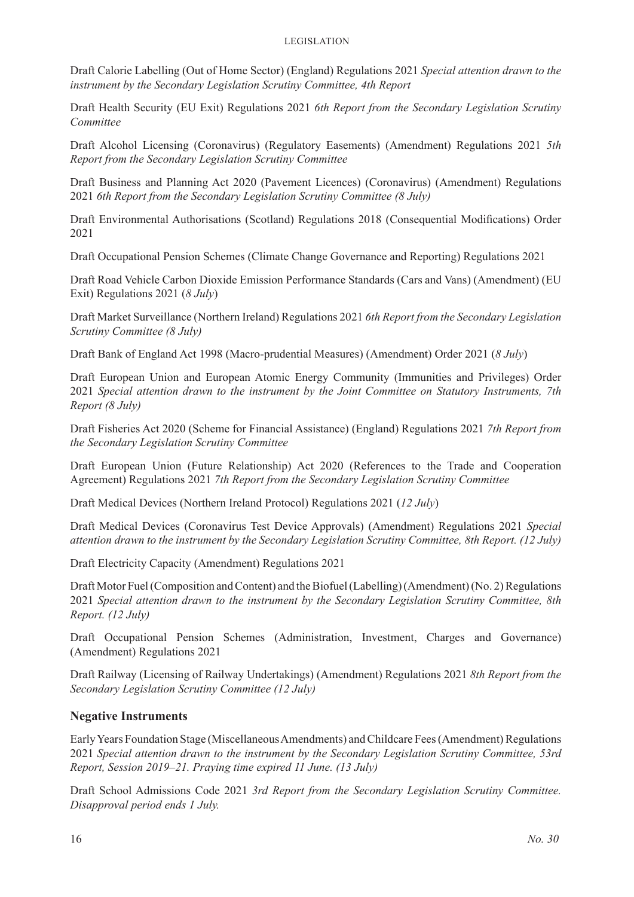Draft Calorie Labelling (Out of Home Sector) (England) Regulations 2021 *Special attention drawn to the instrument by the Secondary Legislation Scrutiny Committee, 4th Report*

Draft Health Security (EU Exit) Regulations 2021 *6th Report from the Secondary Legislation Scrutiny Committee*

Draft Alcohol Licensing (Coronavirus) (Regulatory Easements) (Amendment) Regulations 2021 *5th Report from the Secondary Legislation Scrutiny Committee*

Draft Business and Planning Act 2020 (Pavement Licences) (Coronavirus) (Amendment) Regulations 2021 *6th Report from the Secondary Legislation Scrutiny Committee (8 July)*

Draft Environmental Authorisations (Scotland) Regulations 2018 (Consequential Modifications) Order 2021

Draft Occupational Pension Schemes (Climate Change Governance and Reporting) Regulations 2021

Draft Road Vehicle Carbon Dioxide Emission Performance Standards (Cars and Vans) (Amendment) (EU Exit) Regulations 2021 (*8 July*)

Draft Market Surveillance (Northern Ireland) Regulations 2021 *6th Report from the Secondary Legislation Scrutiny Committee (8 July)*

Draft Bank of England Act 1998 (Macro-prudential Measures) (Amendment) Order 2021 (*8 July*)

Draft European Union and European Atomic Energy Community (Immunities and Privileges) Order 2021 *Special attention drawn to the instrument by the Joint Committee on Statutory Instruments, 7th Report (8 July)*

Draft Fisheries Act 2020 (Scheme for Financial Assistance) (England) Regulations 2021 *7th Report from the Secondary Legislation Scrutiny Committee*

Draft European Union (Future Relationship) Act 2020 (References to the Trade and Cooperation Agreement) Regulations 2021 *7th Report from the Secondary Legislation Scrutiny Committee*

Draft Medical Devices (Northern Ireland Protocol) Regulations 2021 (*12 July*)

Draft Medical Devices (Coronavirus Test Device Approvals) (Amendment) Regulations 2021 *Special attention drawn to the instrument by the Secondary Legislation Scrutiny Committee, 8th Report. (12 July)*

Draft Electricity Capacity (Amendment) Regulations 2021

Draft Motor Fuel (Composition and Content) and the Biofuel (Labelling) (Amendment) (No. 2) Regulations 2021 *Special attention drawn to the instrument by the Secondary Legislation Scrutiny Committee, 8th Report. (12 July)*

Draft Occupational Pension Schemes (Administration, Investment, Charges and Governance) (Amendment) Regulations 2021

Draft Railway (Licensing of Railway Undertakings) (Amendment) Regulations 2021 *8th Report from the Secondary Legislation Scrutiny Committee (12 July)*

#### **Negative Instruments**

Early Years Foundation Stage (Miscellaneous Amendments) and Childcare Fees (Amendment) Regulations 2021 *Special attention drawn to the instrument by the Secondary Legislation Scrutiny Committee, 53rd Report, Session 2019–21. Praying time expired 11 June. (13 July)*

Draft School Admissions Code 2021 *3rd Report from the Secondary Legislation Scrutiny Committee. Disapproval period ends 1 July.*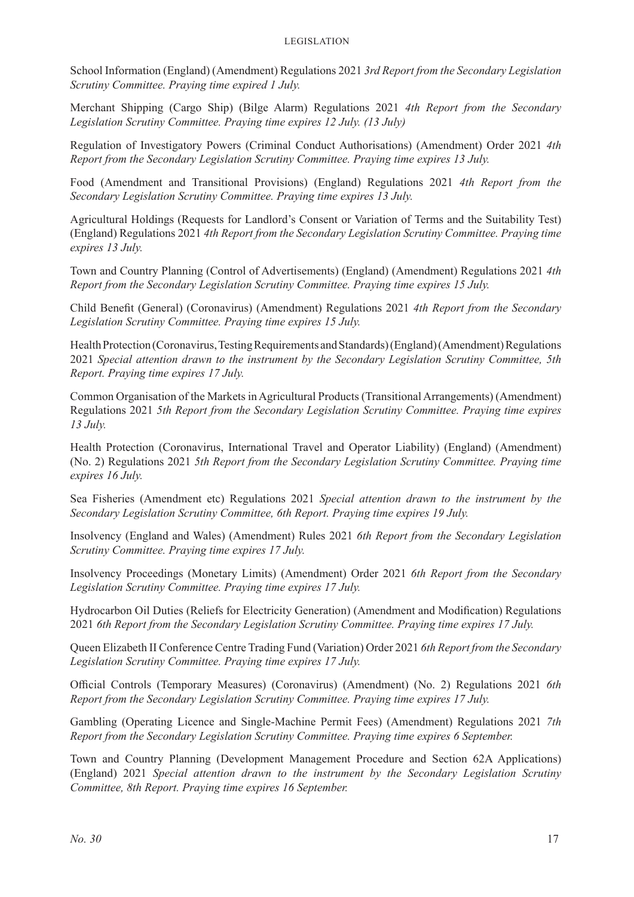School Information (England) (Amendment) Regulations 2021 *3rd Report from the Secondary Legislation Scrutiny Committee. Praying time expired 1 July.*

Merchant Shipping (Cargo Ship) (Bilge Alarm) Regulations 2021 *4th Report from the Secondary Legislation Scrutiny Committee. Praying time expires 12 July. (13 July)*

Regulation of Investigatory Powers (Criminal Conduct Authorisations) (Amendment) Order 2021 *4th Report from the Secondary Legislation Scrutiny Committee. Praying time expires 13 July.*

Food (Amendment and Transitional Provisions) (England) Regulations 2021 *4th Report from the Secondary Legislation Scrutiny Committee. Praying time expires 13 July.*

Agricultural Holdings (Requests for Landlord's Consent or Variation of Terms and the Suitability Test) (England) Regulations 2021 *4th Report from the Secondary Legislation Scrutiny Committee. Praying time expires 13 July.*

Town and Country Planning (Control of Advertisements) (England) (Amendment) Regulations 2021 *4th Report from the Secondary Legislation Scrutiny Committee. Praying time expires 15 July.*

Child Benefit (General) (Coronavirus) (Amendment) Regulations 2021 *4th Report from the Secondary Legislation Scrutiny Committee. Praying time expires 15 July.*

Health Protection (Coronavirus, Testing Requirements and Standards) (England) (Amendment) Regulations 2021 *Special attention drawn to the instrument by the Secondary Legislation Scrutiny Committee, 5th Report. Praying time expires 17 July.*

Common Organisation of the Markets in Agricultural Products (Transitional Arrangements) (Amendment) Regulations 2021 *5th Report from the Secondary Legislation Scrutiny Committee. Praying time expires 13 July.*

Health Protection (Coronavirus, International Travel and Operator Liability) (England) (Amendment) (No. 2) Regulations 2021 *5th Report from the Secondary Legislation Scrutiny Committee. Praying time expires 16 July.*

Sea Fisheries (Amendment etc) Regulations 2021 *Special attention drawn to the instrument by the Secondary Legislation Scrutiny Committee, 6th Report. Praying time expires 19 July.*

Insolvency (England and Wales) (Amendment) Rules 2021 *6th Report from the Secondary Legislation Scrutiny Committee. Praying time expires 17 July.*

Insolvency Proceedings (Monetary Limits) (Amendment) Order 2021 *6th Report from the Secondary Legislation Scrutiny Committee. Praying time expires 17 July.*

Hydrocarbon Oil Duties (Reliefs for Electricity Generation) (Amendment and Modification) Regulations 2021 *6th Report from the Secondary Legislation Scrutiny Committee. Praying time expires 17 July.*

Queen Elizabeth II Conference Centre Trading Fund (Variation) Order 2021 *6th Report from the Secondary Legislation Scrutiny Committee. Praying time expires 17 July.*

Official Controls (Temporary Measures) (Coronavirus) (Amendment) (No. 2) Regulations 2021 *6th Report from the Secondary Legislation Scrutiny Committee. Praying time expires 17 July.*

Gambling (Operating Licence and Single-Machine Permit Fees) (Amendment) Regulations 2021 *7th Report from the Secondary Legislation Scrutiny Committee. Praying time expires 6 September.*

Town and Country Planning (Development Management Procedure and Section 62A Applications) (England) 2021 *Special attention drawn to the instrument by the Secondary Legislation Scrutiny Committee, 8th Report. Praying time expires 16 September.*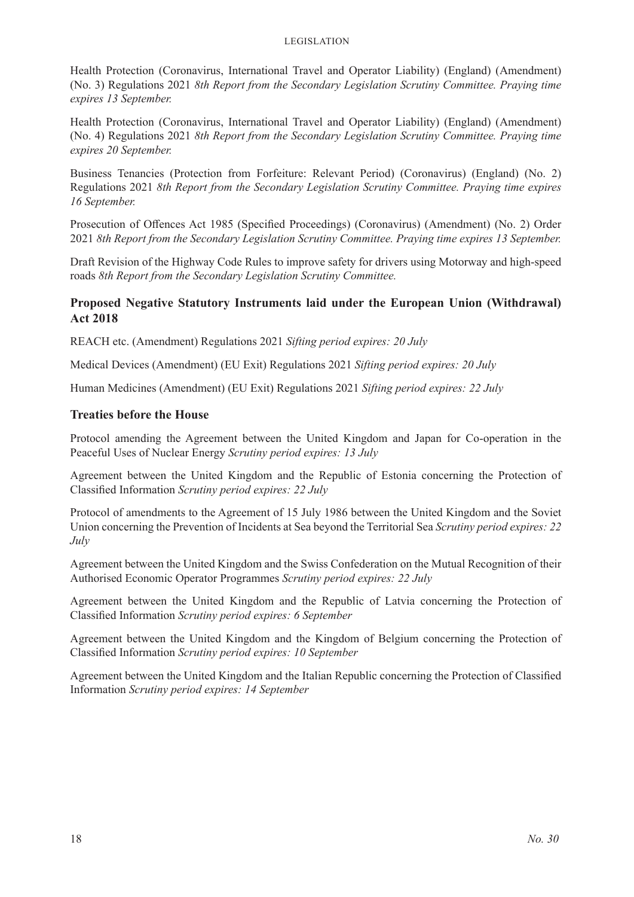Health Protection (Coronavirus, International Travel and Operator Liability) (England) (Amendment) (No. 3) Regulations 2021 *8th Report from the Secondary Legislation Scrutiny Committee. Praying time expires 13 September.*

Health Protection (Coronavirus, International Travel and Operator Liability) (England) (Amendment) (No. 4) Regulations 2021 *8th Report from the Secondary Legislation Scrutiny Committee. Praying time expires 20 September.*

Business Tenancies (Protection from Forfeiture: Relevant Period) (Coronavirus) (England) (No. 2) Regulations 2021 *8th Report from the Secondary Legislation Scrutiny Committee. Praying time expires 16 September.*

Prosecution of Offences Act 1985 (Specified Proceedings) (Coronavirus) (Amendment) (No. 2) Order 2021 *8th Report from the Secondary Legislation Scrutiny Committee. Praying time expires 13 September.*

Draft Revision of the Highway Code Rules to improve safety for drivers using Motorway and high-speed roads *8th Report from the Secondary Legislation Scrutiny Committee.*

# **Proposed Negative Statutory Instruments laid under the European Union (Withdrawal) Act 2018**

REACH etc. (Amendment) Regulations 2021 *Sifting period expires: 20 July*

Medical Devices (Amendment) (EU Exit) Regulations 2021 *Sifting period expires: 20 July*

Human Medicines (Amendment) (EU Exit) Regulations 2021 *Sifting period expires: 22 July*

# **Treaties before the House**

Protocol amending the Agreement between the United Kingdom and Japan for Co-operation in the Peaceful Uses of Nuclear Energy *Scrutiny period expires: 13 July*

Agreement between the United Kingdom and the Republic of Estonia concerning the Protection of Classified Information *Scrutiny period expires: 22 July*

Protocol of amendments to the Agreement of 15 July 1986 between the United Kingdom and the Soviet Union concerning the Prevention of Incidents at Sea beyond the Territorial Sea *Scrutiny period expires: 22 July*

Agreement between the United Kingdom and the Swiss Confederation on the Mutual Recognition of their Authorised Economic Operator Programmes *Scrutiny period expires: 22 July*

Agreement between the United Kingdom and the Republic of Latvia concerning the Protection of Classified Information *Scrutiny period expires: 6 September*

Agreement between the United Kingdom and the Kingdom of Belgium concerning the Protection of Classified Information *Scrutiny period expires: 10 September*

Agreement between the United Kingdom and the Italian Republic concerning the Protection of Classified Information *Scrutiny period expires: 14 September*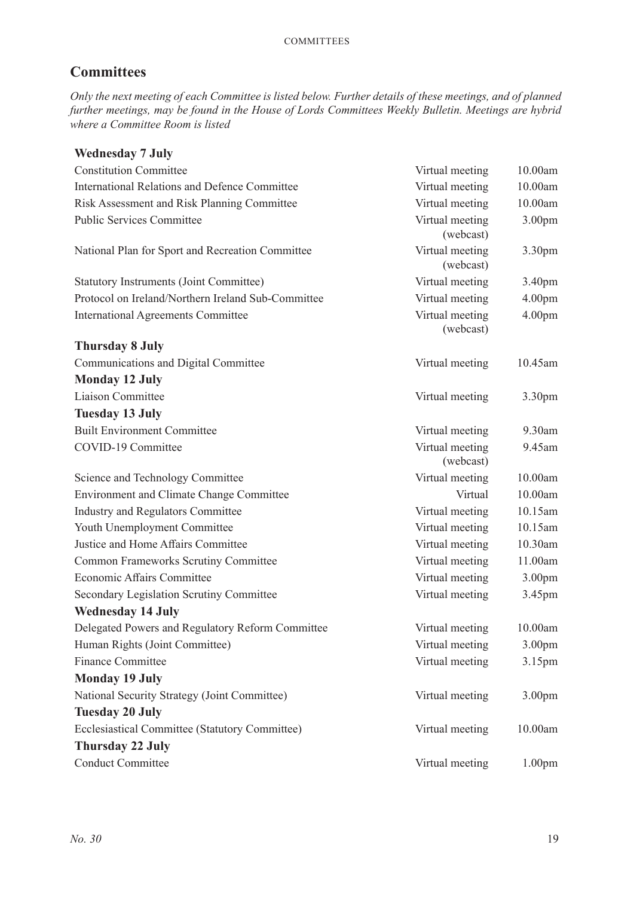# **Committees**

*Only the next meeting of each Committee is listed below. Further details of these meetings, and of planned further meetings, may be found in the House of Lords Committees Weekly Bulletin. Meetings are hybrid where a Committee Room is listed*

| <b>Wednesday 7 July</b>                              |                              |                    |
|------------------------------------------------------|------------------------------|--------------------|
| <b>Constitution Committee</b>                        | Virtual meeting              | 10.00am            |
| <b>International Relations and Defence Committee</b> | Virtual meeting              | 10.00am            |
| Risk Assessment and Risk Planning Committee          | Virtual meeting              | 10.00am            |
| <b>Public Services Committee</b>                     | Virtual meeting<br>(webcast) | 3.00pm             |
| National Plan for Sport and Recreation Committee     | Virtual meeting<br>(webcast) | 3.30pm             |
| <b>Statutory Instruments (Joint Committee)</b>       | Virtual meeting              | 3.40pm             |
| Protocol on Ireland/Northern Ireland Sub-Committee   | Virtual meeting              | 4.00pm             |
| <b>International Agreements Committee</b>            | Virtual meeting<br>(webcast) | 4.00 <sub>pm</sub> |
| <b>Thursday 8 July</b>                               |                              |                    |
| Communications and Digital Committee                 | Virtual meeting              | 10.45am            |
| <b>Monday 12 July</b>                                |                              |                    |
| Liaison Committee                                    | Virtual meeting              | 3.30 <sub>pm</sub> |
| <b>Tuesday 13 July</b>                               |                              |                    |
| <b>Built Environment Committee</b>                   | Virtual meeting              | 9.30am             |
| COVID-19 Committee                                   | Virtual meeting<br>(webcast) | 9.45am             |
| Science and Technology Committee                     | Virtual meeting              | 10.00am            |
| <b>Environment and Climate Change Committee</b>      | Virtual                      | 10.00am            |
| <b>Industry and Regulators Committee</b>             | Virtual meeting              | 10.15am            |
| Youth Unemployment Committee                         | Virtual meeting              | 10.15am            |
| Justice and Home Affairs Committee                   | Virtual meeting              | 10.30am            |
| <b>Common Frameworks Scrutiny Committee</b>          | Virtual meeting              | 11.00am            |
| Economic Affairs Committee                           | Virtual meeting              | 3.00 <sub>pm</sub> |
| Secondary Legislation Scrutiny Committee             | Virtual meeting              | 3.45pm             |
| <b>Wednesday 14 July</b>                             |                              |                    |
| Delegated Powers and Regulatory Reform Committee     | Virtual meeting              | 10.00am            |
| Human Rights (Joint Committee)                       | Virtual meeting              | 3.00pm             |
| <b>Finance Committee</b>                             | Virtual meeting              | 3.15pm             |
| <b>Monday 19 July</b>                                |                              |                    |
| National Security Strategy (Joint Committee)         | Virtual meeting              | 3.00pm             |
| <b>Tuesday 20 July</b>                               |                              |                    |
| Ecclesiastical Committee (Statutory Committee)       | Virtual meeting              | 10.00am            |
| <b>Thursday 22 July</b>                              |                              |                    |
| <b>Conduct Committee</b>                             | Virtual meeting              | 1.00pm             |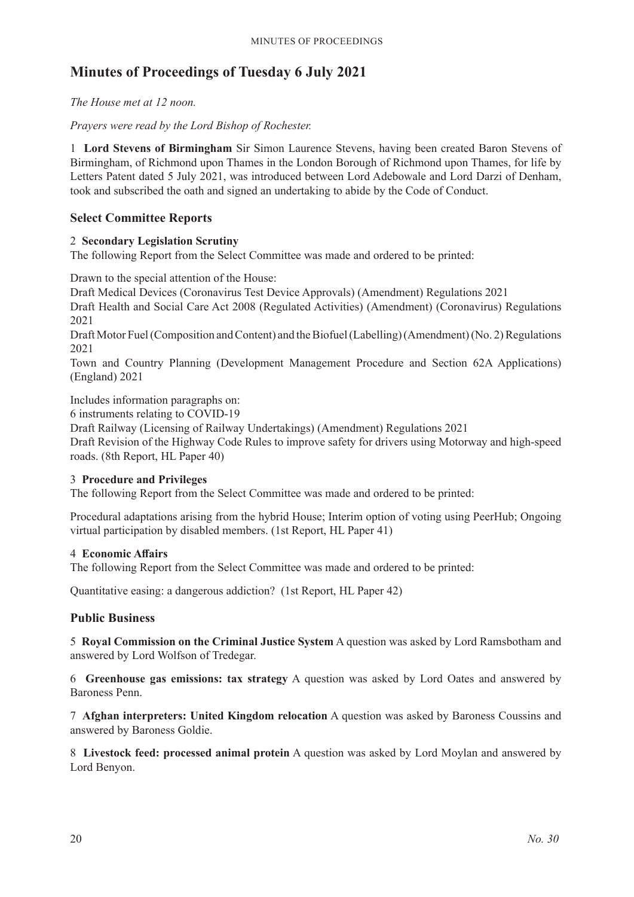# **Minutes of Proceedings of Tuesday 6 July 2021**

*The House met at 12 noon.*

*Prayers were read by the Lord Bishop of Rochester.*

1 **Lord Stevens of Birmingham** Sir Simon Laurence Stevens, having been created Baron Stevens of Birmingham, of Richmond upon Thames in the London Borough of Richmond upon Thames, for life by Letters Patent dated 5 July 2021, was introduced between Lord Adebowale and Lord Darzi of Denham, took and subscribed the oath and signed an undertaking to abide by the Code of Conduct.

# **Select Committee Reports**

# 2 **Secondary Legislation Scrutiny**

The following Report from the Select Committee was made and ordered to be printed:

Drawn to the special attention of the House:

Draft Medical Devices (Coronavirus Test Device Approvals) (Amendment) Regulations 2021 Draft Health and Social Care Act 2008 (Regulated Activities) (Amendment) (Coronavirus) Regulations 2021

Draft Motor Fuel (Composition and Content) and the Biofuel (Labelling) (Amendment) (No. 2) Regulations 2021

Town and Country Planning (Development Management Procedure and Section 62A Applications) (England) 2021

Includes information paragraphs on:

6 instruments relating to COVID-19

Draft Railway (Licensing of Railway Undertakings) (Amendment) Regulations 2021

Draft Revision of the Highway Code Rules to improve safety for drivers using Motorway and high-speed roads. (8th Report, HL Paper 40)

#### 3 **Procedure and Privileges**

The following Report from the Select Committee was made and ordered to be printed:

Procedural adaptations arising from the hybrid House; Interim option of voting using PeerHub; Ongoing virtual participation by disabled members. (1st Report, HL Paper 41)

#### 4 **Economic Affairs**

The following Report from the Select Committee was made and ordered to be printed:

Quantitative easing: a dangerous addiction? (1st Report, HL Paper 42)

# **Public Business**

5 **Royal Commission on the Criminal Justice System** A question was asked by Lord Ramsbotham and answered by Lord Wolfson of Tredegar.

6 **Greenhouse gas emissions: tax strategy** A question was asked by Lord Oates and answered by Baroness Penn.

7 **Afghan interpreters: United Kingdom relocation** A question was asked by Baroness Coussins and answered by Baroness Goldie.

8 **Livestock feed: processed animal protein** A question was asked by Lord Moylan and answered by Lord Benyon.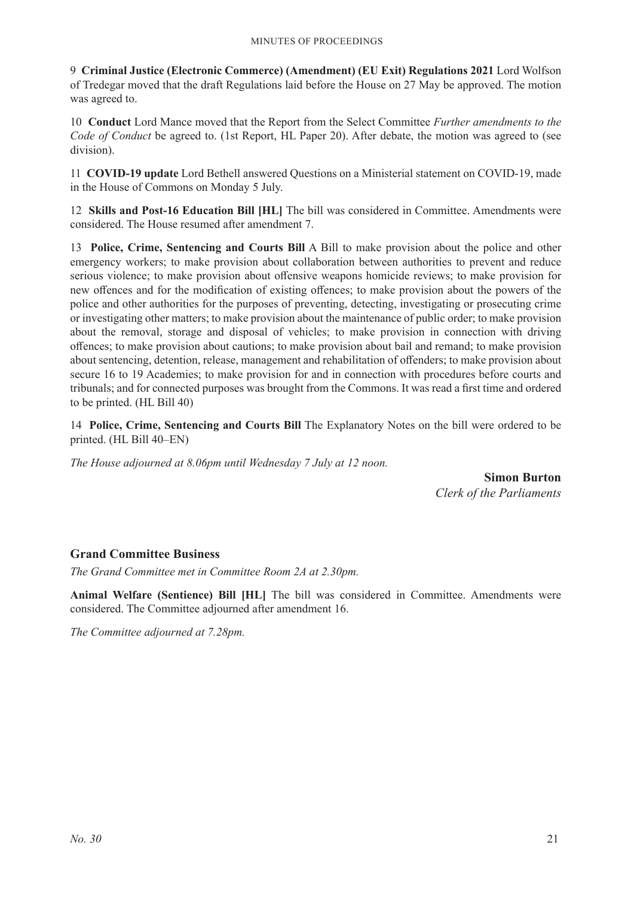9 **Criminal Justice (Electronic Commerce) (Amendment) (EU Exit) Regulations 2021** Lord Wolfson of Tredegar moved that the draft Regulations laid before the House on 27 May be approved. The motion was agreed to.

10 **Conduct** Lord Mance moved that the Report from the Select Committee *Further amendments to the Code of Conduct* be agreed to. (1st Report, HL Paper 20). After debate, the motion was agreed to (see division).

11 **COVID-19 update** Lord Bethell answered Questions on a Ministerial statement on COVID-19, made in the House of Commons on Monday 5 July.

12 **Skills and Post-16 Education Bill [HL]** The bill was considered in Committee. Amendments were considered. The House resumed after amendment 7.

13 **Police, Crime, Sentencing and Courts Bill** A Bill to make provision about the police and other emergency workers; to make provision about collaboration between authorities to prevent and reduce serious violence; to make provision about offensive weapons homicide reviews; to make provision for new offences and for the modification of existing offences; to make provision about the powers of the police and other authorities for the purposes of preventing, detecting, investigating or prosecuting crime or investigating other matters; to make provision about the maintenance of public order; to make provision about the removal, storage and disposal of vehicles; to make provision in connection with driving offences; to make provision about cautions; to make provision about bail and remand; to make provision about sentencing, detention, release, management and rehabilitation of offenders; to make provision about secure 16 to 19 Academies; to make provision for and in connection with procedures before courts and tribunals; and for connected purposes was brought from the Commons. It was read a first time and ordered to be printed. (HL Bill 40)

14 **Police, Crime, Sentencing and Courts Bill** The Explanatory Notes on the bill were ordered to be printed. (HL Bill 40–EN)

*The House adjourned at 8.06pm until Wednesday 7 July at 12 noon.*

**Simon Burton** *Clerk of the Parliaments*

# **Grand Committee Business**

*The Grand Committee met in Committee Room 2A at 2.30pm.*

**Animal Welfare (Sentience) Bill [HL]** The bill was considered in Committee. Amendments were considered. The Committee adjourned after amendment 16.

*The Committee adjourned at 7.28pm.*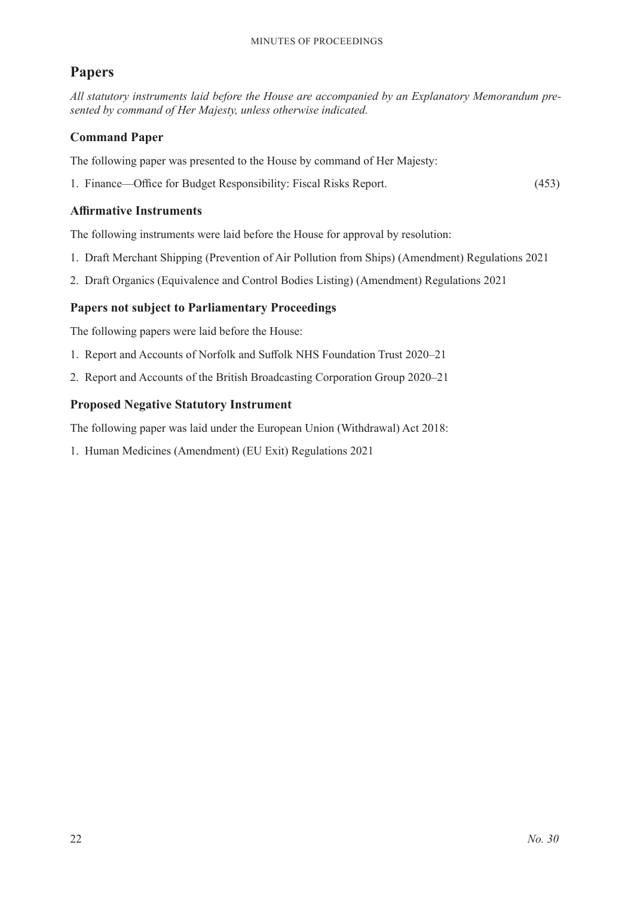# **Papers**

*All statutory instruments laid before the House are accompanied by an Explanatory Memorandum presented by command of Her Majesty, unless otherwise indicated.*

# **Command Paper**

The following paper was presented to the House by command of Her Majesty:

1. Finance—Office for Budget Responsibility: Fiscal Risks Report. (453)

# **Affirmative Instruments**

The following instruments were laid before the House for approval by resolution:

- 1. Draft Merchant Shipping (Prevention of Air Pollution from Ships) (Amendment) Regulations 2021
- 2. Draft Organics (Equivalence and Control Bodies Listing) (Amendment) Regulations 2021

# **Papers not subject to Parliamentary Proceedings**

The following papers were laid before the House:

- 1. Report and Accounts of Norfolk and Suffolk NHS Foundation Trust 2020–21
- 2. Report and Accounts of the British Broadcasting Corporation Group 2020–21

# **Proposed Negative Statutory Instrument**

The following paper was laid under the European Union (Withdrawal) Act 2018:

1. Human Medicines (Amendment) (EU Exit) Regulations 2021